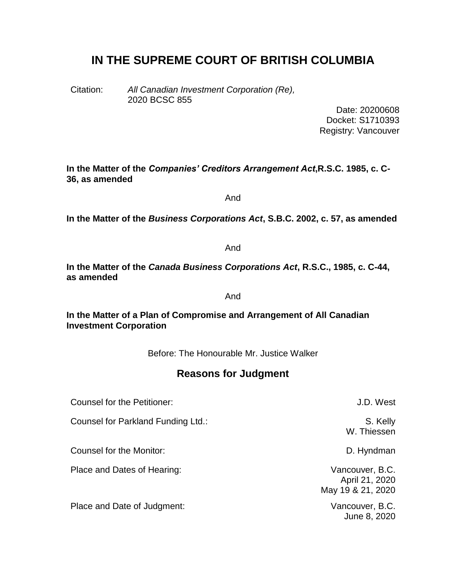# **IN THE SUPREME COURT OF BRITISH COLUMBIA**

Citation: *All Canadian Investment Corporation (Re),* 2020 BCSC 855

> Date: 20200608 Docket: S1710393 Registry: Vancouver

**In the Matter of the** *Companies' Creditors Arrangement Act***,R.S.C. 1985, c. C-36, as amended**

And

**In the Matter of the** *Business Corporations Act***, S.B.C. 2002, c. 57, as amended**

And

**In the Matter of the** *Canada Business Corporations Act***, R.S.C., 1985, c. C-44, as amended**

And

**In the Matter of a Plan of Compromise and Arrangement of All Canadian Investment Corporation**

Before: The Honourable Mr. Justice Walker

# **Reasons for Judgment**

Counsel for the Petitioner: J.D. West

Counsel for Parkland Funding Ltd.: S. Kelly

Counsel for the Monitor: Counsel for the Monitor:

Place and Dates of Hearing: Vancouver, B.C.

Place and Date of Judgment: Vancouver, B.C.

W. Thiessen

April 21, 2020 May 19 & 21, 2020

June 8, 2020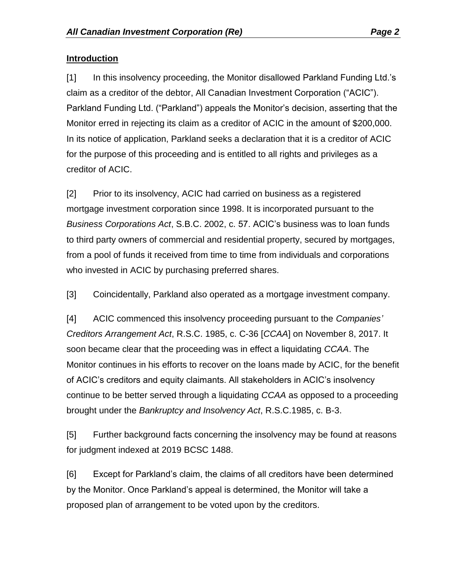#### **Introduction**

[1] In this insolvency proceeding, the Monitor disallowed Parkland Funding Ltd.'s claim as a creditor of the debtor, All Canadian Investment Corporation ("ACIC"). Parkland Funding Ltd. ("Parkland") appeals the Monitor's decision, asserting that the Monitor erred in rejecting its claim as a creditor of ACIC in the amount of \$200,000. In its notice of application, Parkland seeks a declaration that it is a creditor of ACIC for the purpose of this proceeding and is entitled to all rights and privileges as a creditor of ACIC.

[2] Prior to its insolvency, ACIC had carried on business as a registered mortgage investment corporation since 1998. It is incorporated pursuant to the *Business Corporations Act*, S.B.C. 2002, c. 57. ACIC's business was to loan funds to third party owners of commercial and residential property, secured by mortgages, from a pool of funds it received from time to time from individuals and corporations who invested in ACIC by purchasing preferred shares.

[3] Coincidentally, Parkland also operated as a mortgage investment company.

[4] ACIC commenced this insolvency proceeding pursuant to the *Companies' Creditors Arrangement Act*, R.S.C. 1985, c. C-36 [*CCAA*] on November 8, 2017. It soon became clear that the proceeding was in effect a liquidating *CCAA*. The Monitor continues in his efforts to recover on the loans made by ACIC, for the benefit of ACIC's creditors and equity claimants. All stakeholders in ACIC's insolvency continue to be better served through a liquidating *CCAA* as opposed to a proceeding brought under the *Bankruptcy and Insolvency Act*, R.S.C.1985, c. B-3.

[5] Further background facts concerning the insolvency may be found at reasons for judgment indexed at 2019 BCSC 1488.

[6] Except for Parkland's claim, the claims of all creditors have been determined by the Monitor. Once Parkland's appeal is determined, the Monitor will take a proposed plan of arrangement to be voted upon by the creditors.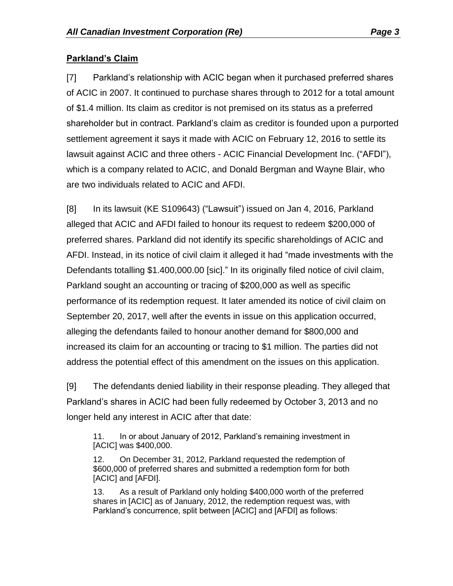#### **Parkland's Claim**

[7] Parkland's relationship with ACIC began when it purchased preferred shares of ACIC in 2007. It continued to purchase shares through to 2012 for a total amount of \$1.4 million. Its claim as creditor is not premised on its status as a preferred shareholder but in contract. Parkland's claim as creditor is founded upon a purported settlement agreement it says it made with ACIC on February 12, 2016 to settle its lawsuit against ACIC and three others - ACIC Financial Development Inc. ("AFDI"), which is a company related to ACIC, and Donald Bergman and Wayne Blair, who are two individuals related to ACIC and AFDI.

[8] In its lawsuit (KE S109643) ("Lawsuit") issued on Jan 4, 2016, Parkland alleged that ACIC and AFDI failed to honour its request to redeem \$200,000 of preferred shares. Parkland did not identify its specific shareholdings of ACIC and AFDI. Instead, in its notice of civil claim it alleged it had "made investments with the Defendants totalling \$1.400,000.00 [sic]." In its originally filed notice of civil claim, Parkland sought an accounting or tracing of \$200,000 as well as specific performance of its redemption request. It later amended its notice of civil claim on September 20, 2017, well after the events in issue on this application occurred, alleging the defendants failed to honour another demand for \$800,000 and increased its claim for an accounting or tracing to \$1 million. The parties did not address the potential effect of this amendment on the issues on this application.

[9] The defendants denied liability in their response pleading. They alleged that Parkland's shares in ACIC had been fully redeemed by October 3, 2013 and no longer held any interest in ACIC after that date:

11. In or about January of 2012, Parkland's remaining investment in [ACIC] was \$400,000.

12. On December 31, 2012, Parkland requested the redemption of \$600,000 of preferred shares and submitted a redemption form for both [ACIC] and [AFDI].

13. As a result of Parkland only holding \$400,000 worth of the preferred shares in [ACIC] as of January, 2012, the redemption request was, with Parkland's concurrence, split between [ACIC] and [AFDI] as follows: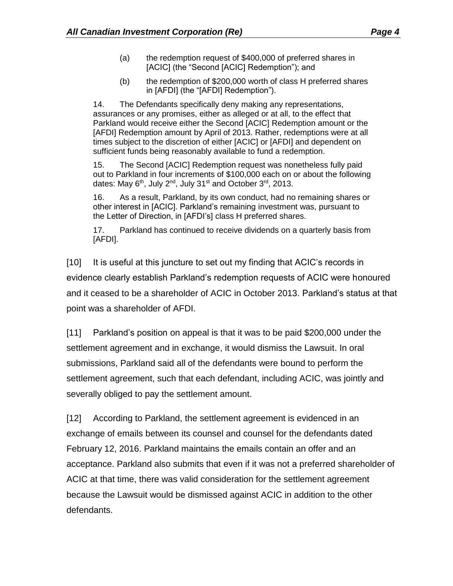- (a) the redemption request of \$400,000 of preferred shares in [ACIC] (the "Second [ACIC] Redemption"); and
- (b) the redemption of \$200,000 worth of class H preferred shares in [AFDI] (the "[AFDI] Redemption").

14. The Defendants specifically deny making any representations, assurances or any promises, either as alleged or at all, to the effect that Parkland would receive either the Second [ACIC] Redemption amount or the [AFDI] Redemption amount by April of 2013. Rather, redemptions were at all times subject to the discretion of either [ACIC] or [AFDI] and dependent on sufficient funds being reasonably available to fund a redemption.

15. The Second [ACIC] Redemption request was nonetheless fully paid out to Parkland in four increments of \$100,000 each on or about the following dates: May 6<sup>th</sup>, July 2<sup>nd</sup>, July 31<sup>st</sup> and October 3<sup>rd</sup>, 2013.

16. As a result, Parkland, by its own conduct, had no remaining shares or other interest in [ACIC]. Parkland's remaining investment was, pursuant to the Letter of Direction, in [AFDI's] class H preferred shares.

17. Parkland has continued to receive dividends on a quarterly basis from [AFDI].

[10] It is useful at this juncture to set out my finding that ACIC's records in evidence clearly establish Parkland's redemption requests of ACIC were honoured and it ceased to be a shareholder of ACIC in October 2013. Parkland's status at that point was a shareholder of AFDI.

[11] Parkland's position on appeal is that it was to be paid \$200,000 under the settlement agreement and in exchange, it would dismiss the Lawsuit. In oral submissions, Parkland said all of the defendants were bound to perform the settlement agreement, such that each defendant, including ACIC, was jointly and severally obliged to pay the settlement amount.

[12] According to Parkland, the settlement agreement is evidenced in an exchange of emails between its counsel and counsel for the defendants dated February 12, 2016. Parkland maintains the emails contain an offer and an acceptance. Parkland also submits that even if it was not a preferred shareholder of ACIC at that time, there was valid consideration for the settlement agreement because the Lawsuit would be dismissed against ACIC in addition to the other defendants.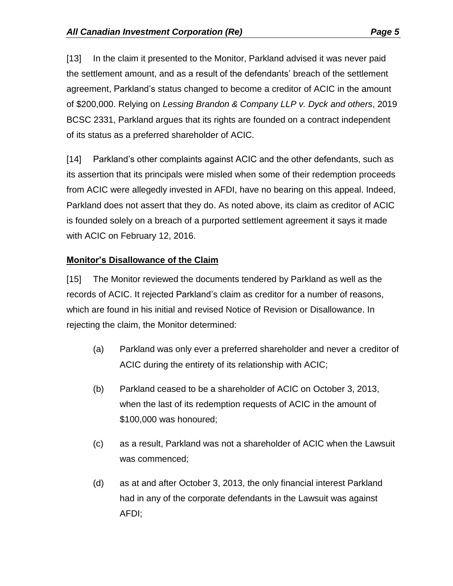[13] In the claim it presented to the Monitor, Parkland advised it was never paid the settlement amount, and as a result of the defendants' breach of the settlement agreement, Parkland's status changed to become a creditor of ACIC in the amount of \$200,000. Relying on *Lessing Brandon & Company LLP v. Dyck and others*, 2019 BCSC 2331, Parkland argues that its rights are founded on a contract independent of its status as a preferred shareholder of ACIC.

[14] Parkland's other complaints against ACIC and the other defendants, such as its assertion that its principals were misled when some of their redemption proceeds from ACIC were allegedly invested in AFDI, have no bearing on this appeal. Indeed, Parkland does not assert that they do. As noted above, its claim as creditor of ACIC is founded solely on a breach of a purported settlement agreement it says it made with ACIC on February 12, 2016.

#### **Monitor's Disallowance of the Claim**

[15] The Monitor reviewed the documents tendered by Parkland as well as the records of ACIC. It rejected Parkland's claim as creditor for a number of reasons, which are found in his initial and revised Notice of Revision or Disallowance. In rejecting the claim, the Monitor determined:

- (a) Parkland was only ever a preferred shareholder and never a creditor of ACIC during the entirety of its relationship with ACIC;
- (b) Parkland ceased to be a shareholder of ACIC on October 3, 2013, when the last of its redemption requests of ACIC in the amount of \$100,000 was honoured;
- (c) as a result, Parkland was not a shareholder of ACIC when the Lawsuit was commenced;
- (d) as at and after October 3, 2013, the only financial interest Parkland had in any of the corporate defendants in the Lawsuit was against AFDI;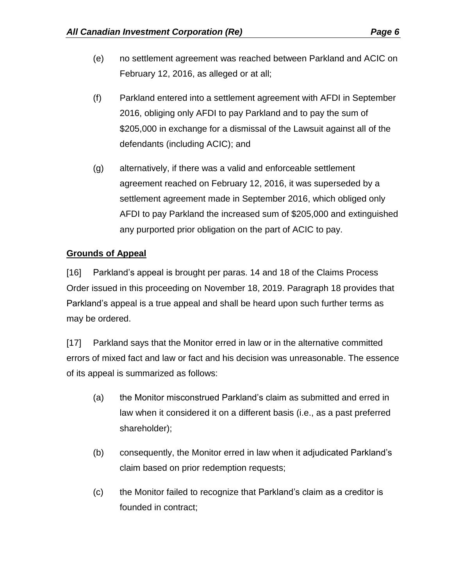- (e) no settlement agreement was reached between Parkland and ACIC on February 12, 2016, as alleged or at all;
- (f) Parkland entered into a settlement agreement with AFDI in September 2016, obliging only AFDI to pay Parkland and to pay the sum of \$205,000 in exchange for a dismissal of the Lawsuit against all of the defendants (including ACIC); and
- (g) alternatively, if there was a valid and enforceable settlement agreement reached on February 12, 2016, it was superseded by a settlement agreement made in September 2016, which obliged only AFDI to pay Parkland the increased sum of \$205,000 and extinguished any purported prior obligation on the part of ACIC to pay.

#### **Grounds of Appeal**

[16] Parkland's appeal is brought per paras. 14 and 18 of the Claims Process Order issued in this proceeding on November 18, 2019. Paragraph 18 provides that Parkland's appeal is a true appeal and shall be heard upon such further terms as may be ordered.

[17] Parkland says that the Monitor erred in law or in the alternative committed errors of mixed fact and law or fact and his decision was unreasonable. The essence of its appeal is summarized as follows:

- (a) the Monitor misconstrued Parkland's claim as submitted and erred in law when it considered it on a different basis (i.e., as a past preferred shareholder);
- (b) consequently, the Monitor erred in law when it adjudicated Parkland's claim based on prior redemption requests;
- (c) the Monitor failed to recognize that Parkland's claim as a creditor is founded in contract;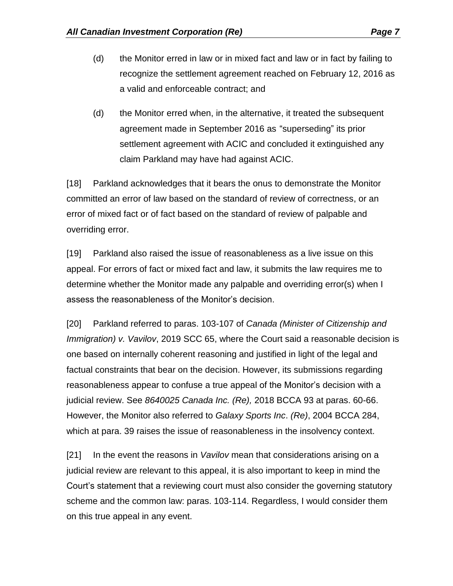- (d) the Monitor erred in law or in mixed fact and law or in fact by failing to recognize the settlement agreement reached on February 12, 2016 as a valid and enforceable contract; and
- (d) the Monitor erred when, in the alternative, it treated the subsequent agreement made in September 2016 as "superseding" its prior settlement agreement with ACIC and concluded it extinguished any claim Parkland may have had against ACIC.

[18] Parkland acknowledges that it bears the onus to demonstrate the Monitor committed an error of law based on the standard of review of correctness, or an error of mixed fact or of fact based on the standard of review of palpable and overriding error.

[19] Parkland also raised the issue of reasonableness as a live issue on this appeal. For errors of fact or mixed fact and law, it submits the law requires me to determine whether the Monitor made any palpable and overriding error(s) when I assess the reasonableness of the Monitor's decision.

[20] Parkland referred to paras. 103-107 of *Canada (Minister of Citizenship and Immigration) v. Vavilov*, 2019 SCC 65, where the Court said a reasonable decision is one based on internally coherent reasoning and justified in light of the legal and factual constraints that bear on the decision. However, its submissions regarding reasonableness appear to confuse a true appeal of the Monitor's decision with a judicial review. See *8640025 Canada Inc. (Re),* 2018 BCCA 93 at paras. 60-66. However, the Monitor also referred to *Galaxy Sports Inc*. *(Re)*, 2004 BCCA 284, which at para. 39 raises the issue of reasonableness in the insolvency context.

[21] In the event the reasons in *Vavilov* mean that considerations arising on a judicial review are relevant to this appeal, it is also important to keep in mind the Court's statement that a reviewing court must also consider the governing statutory scheme and the common law: paras. 103-114. Regardless, I would consider them on this true appeal in any event.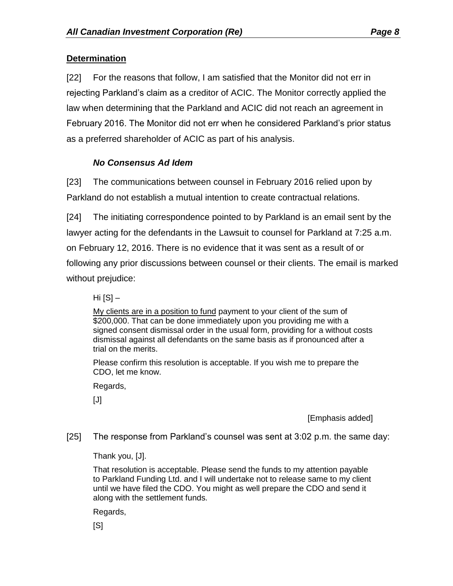## **Determination**

[22] For the reasons that follow, I am satisfied that the Monitor did not err in rejecting Parkland's claim as a creditor of ACIC. The Monitor correctly applied the law when determining that the Parkland and ACIC did not reach an agreement in February 2016. The Monitor did not err when he considered Parkland's prior status as a preferred shareholder of ACIC as part of his analysis.

## *No Consensus Ad Idem*

[23] The communications between counsel in February 2016 relied upon by Parkland do not establish a mutual intention to create contractual relations.

[24] The initiating correspondence pointed to by Parkland is an email sent by the lawyer acting for the defendants in the Lawsuit to counsel for Parkland at 7:25 a.m. on February 12, 2016. There is no evidence that it was sent as a result of or following any prior discussions between counsel or their clients. The email is marked without prejudice:

Hi  $[S]$  –

My clients are in a position to fund payment to your client of the sum of \$200,000. That can be done immediately upon you providing me with a signed consent dismissal order in the usual form, providing for a without costs dismissal against all defendants on the same basis as if pronounced after a trial on the merits.

Please confirm this resolution is acceptable. If you wish me to prepare the CDO, let me know.

Regards,

 $[J]$ 

[Emphasis added]

[25] The response from Parkland's counsel was sent at 3:02 p.m. the same day:

Thank you, [J].

That resolution is acceptable. Please send the funds to my attention payable to Parkland Funding Ltd. and I will undertake not to release same to my client until we have filed the CDO. You might as well prepare the CDO and send it along with the settlement funds.

Regards,

 $[<sub>S</sub>]$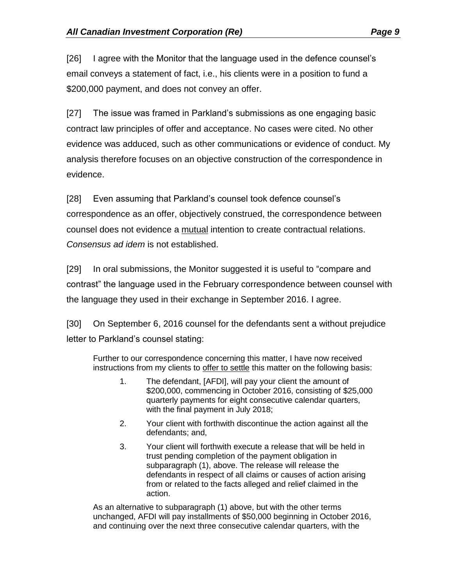[26] I agree with the Monitor that the language used in the defence counsel's email conveys a statement of fact, i.e., his clients were in a position to fund a \$200,000 payment, and does not convey an offer.

[27] The issue was framed in Parkland's submissions as one engaging basic contract law principles of offer and acceptance. No cases were cited. No other evidence was adduced, such as other communications or evidence of conduct. My analysis therefore focuses on an objective construction of the correspondence in evidence.

[28] Even assuming that Parkland's counsel took defence counsel's correspondence as an offer, objectively construed, the correspondence between counsel does not evidence a mutual intention to create contractual relations. *Consensus ad idem* is not established.

[29] In oral submissions, the Monitor suggested it is useful to "compare and contrast" the language used in the February correspondence between counsel with the language they used in their exchange in September 2016. I agree.

[30] On September 6, 2016 counsel for the defendants sent a without prejudice letter to Parkland's counsel stating:

Further to our correspondence concerning this matter, I have now received instructions from my clients to offer to settle this matter on the following basis:

- 1. The defendant, [AFDI], will pay your client the amount of \$200,000, commencing in October 2016, consisting of \$25,000 quarterly payments for eight consecutive calendar quarters, with the final payment in July 2018;
- 2. Your client with forthwith discontinue the action against all the defendants; and,
- 3. Your client will forthwith execute a release that will be held in trust pending completion of the payment obligation in subparagraph (1), above. The release will release the defendants in respect of all claims or causes of action arising from or related to the facts alleged and relief claimed in the action.

As an alternative to subparagraph (1) above, but with the other terms unchanged, AFDI will pay installments of \$50,000 beginning in October 2016, and continuing over the next three consecutive calendar quarters, with the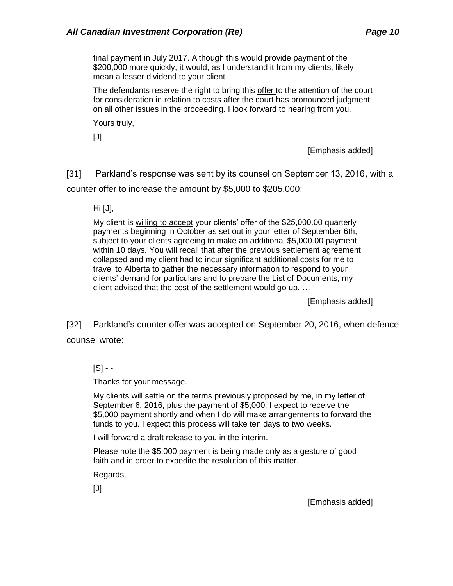final payment in July 2017. Although this would provide payment of the \$200,000 more quickly, it would, as I understand it from my clients, likely mean a lesser dividend to your client.

The defendants reserve the right to bring this offer to the attention of the court for consideration in relation to costs after the court has pronounced judgment on all other issues in the proceeding. I look forward to hearing from you.

Yours truly,

[J]

[Emphasis added]

[31] Parkland's response was sent by its counsel on September 13, 2016, with a counter offer to increase the amount by \$5,000 to \$205,000:

Hi [J],

My client is willing to accept your clients' offer of the \$25,000.00 quarterly payments beginning in October as set out in your letter of September 6th, subject to your clients agreeing to make an additional \$5,000.00 payment within 10 days. You will recall that after the previous settlement agreement collapsed and my client had to incur significant additional costs for me to travel to Alberta to gather the necessary information to respond to your clients' demand for particulars and to prepare the List of Documents, my client advised that the cost of the settlement would go up. …

[Emphasis added]

[32] Parkland's counter offer was accepted on September 20, 2016, when defence counsel wrote:

 $[S] - -$ 

Thanks for your message.

My clients will settle on the terms previously proposed by me, in my letter of September 6, 2016, plus the payment of \$5,000. I expect to receive the \$5,000 payment shortly and when I do will make arrangements to forward the funds to you. I expect this process will take ten days to two weeks.

I will forward a draft release to you in the interim.

Please note the \$5,000 payment is being made only as a gesture of good faith and in order to expedite the resolution of this matter.

Regards,

 $[J]$ 

[Emphasis added]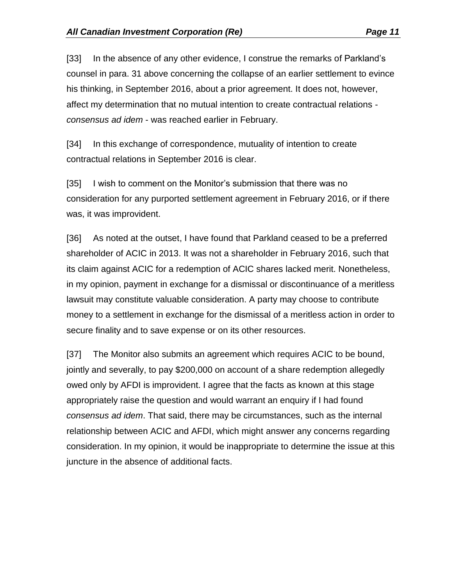[33] In the absence of any other evidence, I construe the remarks of Parkland's counsel in para. 31 above concerning the collapse of an earlier settlement to evince his thinking, in September 2016, about a prior agreement. It does not, however, affect my determination that no mutual intention to create contractual relations *consensus ad idem* - was reached earlier in February.

[34] In this exchange of correspondence, mutuality of intention to create contractual relations in September 2016 is clear.

[35] I wish to comment on the Monitor's submission that there was no consideration for any purported settlement agreement in February 2016, or if there was, it was improvident.

[36] As noted at the outset, I have found that Parkland ceased to be a preferred shareholder of ACIC in 2013. It was not a shareholder in February 2016, such that its claim against ACIC for a redemption of ACIC shares lacked merit. Nonetheless, in my opinion, payment in exchange for a dismissal or discontinuance of a meritless lawsuit may constitute valuable consideration. A party may choose to contribute money to a settlement in exchange for the dismissal of a meritless action in order to secure finality and to save expense or on its other resources.

[37] The Monitor also submits an agreement which requires ACIC to be bound, jointly and severally, to pay \$200,000 on account of a share redemption allegedly owed only by AFDI is improvident. I agree that the facts as known at this stage appropriately raise the question and would warrant an enquiry if I had found *consensus ad idem*. That said, there may be circumstances, such as the internal relationship between ACIC and AFDI, which might answer any concerns regarding consideration. In my opinion, it would be inappropriate to determine the issue at this juncture in the absence of additional facts.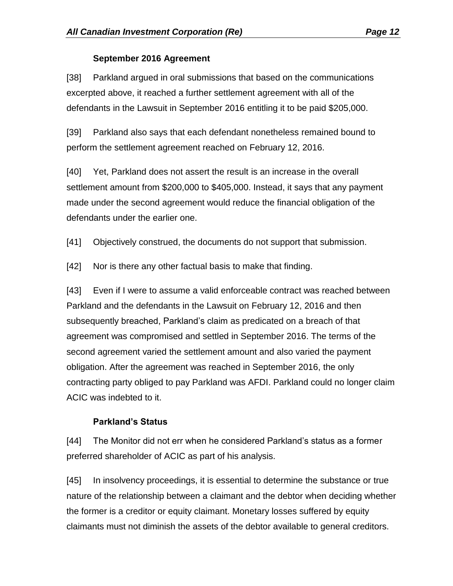#### **September 2016 Agreement**

[38] Parkland argued in oral submissions that based on the communications excerpted above, it reached a further settlement agreement with all of the defendants in the Lawsuit in September 2016 entitling it to be paid \$205,000.

[39] Parkland also says that each defendant nonetheless remained bound to perform the settlement agreement reached on February 12, 2016.

[40] Yet, Parkland does not assert the result is an increase in the overall settlement amount from \$200,000 to \$405,000. Instead, it says that any payment made under the second agreement would reduce the financial obligation of the defendants under the earlier one.

[41] Objectively construed, the documents do not support that submission.

[42] Nor is there any other factual basis to make that finding.

[43] Even if I were to assume a valid enforceable contract was reached between Parkland and the defendants in the Lawsuit on February 12, 2016 and then subsequently breached, Parkland's claim as predicated on a breach of that agreement was compromised and settled in September 2016. The terms of the second agreement varied the settlement amount and also varied the payment obligation. After the agreement was reached in September 2016, the only contracting party obliged to pay Parkland was AFDI. Parkland could no longer claim ACIC was indebted to it.

# **Parkland's Status**

[44] The Monitor did not err when he considered Parkland's status as a former preferred shareholder of ACIC as part of his analysis.

[45] In insolvency proceedings, it is essential to determine the substance or true nature of the relationship between a claimant and the debtor when deciding whether the former is a creditor or equity claimant. Monetary losses suffered by equity claimants must not diminish the assets of the debtor available to general creditors.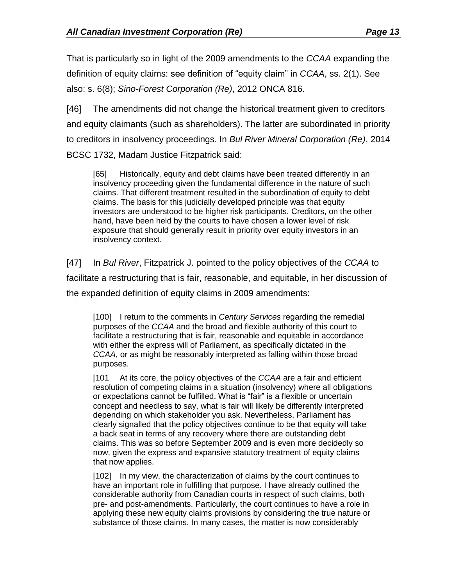That is particularly so in light of the 2009 amendments to the *CCAA* expanding the definition of equity claims: see definition of "equity claim" in *CCAA*, ss. 2(1). See also: s. 6(8); *Sino-Forest Corporation (Re)*, 2012 ONCA 816.

[46] The amendments did not change the historical treatment given to creditors and equity claimants (such as shareholders). The latter are subordinated in priority to creditors in insolvency proceedings. In *Bul River Mineral Corporation (Re)*, 2014 BCSC 1732, Madam Justice Fitzpatrick said:

[65] Historically, equity and debt claims have been treated differently in an insolvency proceeding given the fundamental difference in the nature of such claims. That different treatment resulted in the subordination of equity to debt claims. The basis for this judicially developed principle was that equity investors are understood to be higher risk participants. Creditors, on the other hand, have been held by the courts to have chosen a lower level of risk exposure that should generally result in priority over equity investors in an insolvency context.

[47] In *Bul River*, Fitzpatrick J. pointed to the policy objectives of the *CCAA* to facilitate a restructuring that is fair, reasonable, and equitable, in her discussion of the expanded definition of equity claims in 2009 amendments:

[100] I return to the comments in *Century Services* regarding the remedial purposes of the *CCAA* and the broad and flexible authority of this court to facilitate a restructuring that is fair, reasonable and equitable in accordance with either the express will of Parliament, as specifically dictated in the *CCAA*, or as might be reasonably interpreted as falling within those broad purposes.

[101 At its core, the policy objectives of the *CCAA* are a fair and efficient resolution of competing claims in a situation (insolvency) where all obligations or expectations cannot be fulfilled. What is "fair" is a flexible or uncertain concept and needless to say, what is fair will likely be differently interpreted depending on which stakeholder you ask. Nevertheless, Parliament has clearly signalled that the policy objectives continue to be that equity will take a back seat in terms of any recovery where there are outstanding debt claims. This was so before September 2009 and is even more decidedly so now, given the express and expansive statutory treatment of equity claims that now applies.

[102] In my view, the characterization of claims by the court continues to have an important role in fulfilling that purpose. I have already outlined the considerable authority from Canadian courts in respect of such claims, both pre- and post-amendments. Particularly, the court continues to have a role in applying these new equity claims provisions by considering the true nature or substance of those claims. In many cases, the matter is now considerably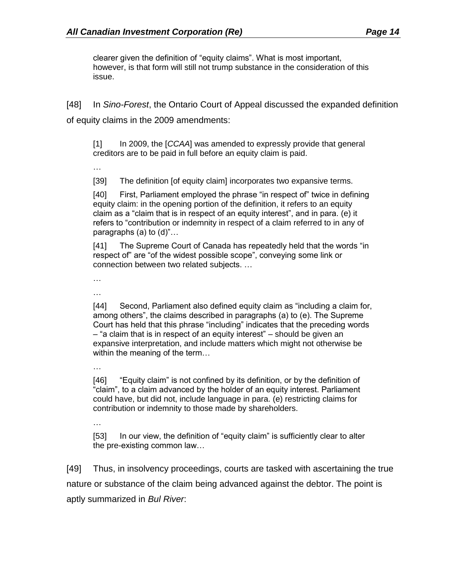clearer given the definition of "equity claims". What is most important, however, is that form will still not trump substance in the consideration of this issue.

[48] In *Sino-Forest*, the Ontario Court of Appeal discussed the expanded definition of equity claims in the 2009 amendments:

[1] In 2009, the [*CCAA*] was amended to expressly provide that general creditors are to be paid in full before an equity claim is paid.

…

[39] The definition [of equity claim] incorporates two expansive terms.

[40] First, Parliament employed the phrase "in respect of" twice in defining equity claim: in the opening portion of the definition, it refers to an equity claim as a "claim that is in respect of an equity interest", and in para. (e) it refers to "contribution or indemnity in respect of a claim referred to in any of paragraphs (a) to (d)"…

[41] The Supreme Court of Canada has repeatedly held that the words "in respect of" are "of the widest possible scope", conveying some link or connection between two related subjects. …

…

…

[44] Second, Parliament also defined equity claim as "including a claim for, among others", the claims described in paragraphs (a) to (e). The Supreme Court has held that this phrase "including" indicates that the preceding words – "a claim that is in respect of an equity interest" – should be given an expansive interpretation, and include matters which might not otherwise be within the meaning of the term…

…

[46] "Equity claim" is not confined by its definition, or by the definition of "claim", to a claim advanced by the holder of an equity interest. Parliament could have, but did not, include language in para. (e) restricting claims for contribution or indemnity to those made by shareholders.

…

[53] In our view, the definition of "equity claim" is sufficiently clear to alter the pre-existing common law…

[49] Thus, in insolvency proceedings, courts are tasked with ascertaining the true nature or substance of the claim being advanced against the debtor. The point is aptly summarized in *Bul River*: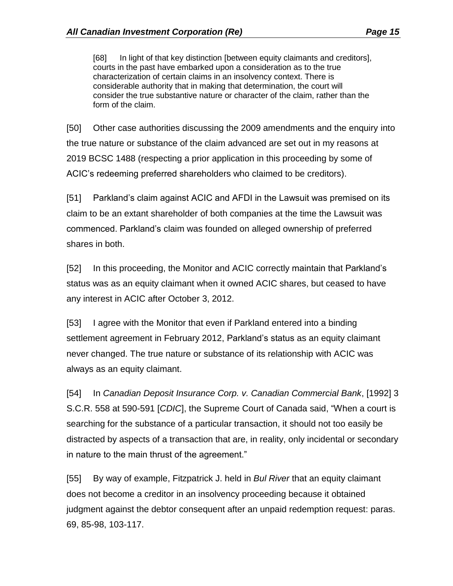[68] In light of that key distinction [between equity claimants and creditors], courts in the past have embarked upon a consideration as to the true characterization of certain claims in an insolvency context. There is considerable authority that in making that determination, the court will consider the true substantive nature or character of the claim, rather than the form of the claim.

[50] Other case authorities discussing the 2009 amendments and the enquiry into the true nature or substance of the claim advanced are set out in my reasons at 2019 BCSC 1488 (respecting a prior application in this proceeding by some of ACIC's redeeming preferred shareholders who claimed to be creditors).

[51] Parkland's claim against ACIC and AFDI in the Lawsuit was premised on its claim to be an extant shareholder of both companies at the time the Lawsuit was commenced. Parkland's claim was founded on alleged ownership of preferred shares in both.

[52] In this proceeding, the Monitor and ACIC correctly maintain that Parkland's status was as an equity claimant when it owned ACIC shares, but ceased to have any interest in ACIC after October 3, 2012.

[53] I agree with the Monitor that even if Parkland entered into a binding settlement agreement in February 2012, Parkland's status as an equity claimant never changed. The true nature or substance of its relationship with ACIC was always as an equity claimant.

[54] In *Canadian Deposit Insurance Corp. v. Canadian Commercial Bank*, [1992] 3 S.C.R. 558 at 590-591 [*CDIC*], the Supreme Court of Canada said, "When a court is searching for the substance of a particular transaction, it should not too easily be distracted by aspects of a transaction that are, in reality, only incidental or secondary in nature to the main thrust of the agreement."

[55] By way of example, Fitzpatrick J. held in *Bul River* that an equity claimant does not become a creditor in an insolvency proceeding because it obtained judgment against the debtor consequent after an unpaid redemption request: paras. 69, 85-98, 103-117.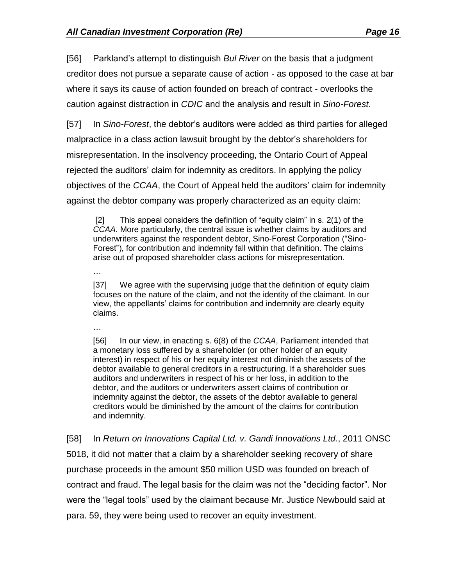[56] Parkland's attempt to distinguish *Bul River* on the basis that a judgment creditor does not pursue a separate cause of action - as opposed to the case at bar where it says its cause of action founded on breach of contract - overlooks the caution against distraction in *CDIC* and the analysis and result in *Sino-Forest*.

[57] In *Sino-Forest*, the debtor's auditors were added as third parties for alleged malpractice in a class action lawsuit brought by the debtor's shareholders for misrepresentation. In the insolvency proceeding, the Ontario Court of Appeal rejected the auditors' claim for indemnity as creditors. In applying the policy objectives of the *CCAA*, the Court of Appeal held the auditors' claim for indemnity against the debtor company was properly characterized as an equity claim:

[2] This appeal considers the definition of "equity claim" in s. 2(1) of the *CCAA*. More particularly, the central issue is whether claims by auditors and underwriters against the respondent debtor, Sino-Forest Corporation ("Sino-Forest"), for contribution and indemnity fall within that definition. The claims arise out of proposed shareholder class actions for misrepresentation.

[37] We agree with the supervising judge that the definition of equity claim focuses on the nature of the claim, and not the identity of the claimant. In our view, the appellants' claims for contribution and indemnity are clearly equity claims.

…

…

[56] In our view, in enacting [s. 6\(8\)](http://www.canlii.org/en/ca/laws/stat/rsc-1985-c-c-36/latest/rsc-1985-c-c-36.html#sec6subsec8_smooth) of the *[CCAA](http://www.canlii.org/en/ca/laws/stat/rsc-1985-c-c-36/latest/rsc-1985-c-c-36.html)*, Parliament intended that a monetary loss suffered by a shareholder (or other holder of an equity interest) in respect of his or her equity interest not diminish the assets of the debtor available to general creditors in a restructuring. If a shareholder sues auditors and underwriters in respect of his or her loss, in addition to the debtor, and the auditors or underwriters assert claims of contribution or indemnity against the debtor, the assets of the debtor available to general creditors would be diminished by the amount of the claims for contribution and indemnity.

[58] In *Return on Innovations Capital Ltd. v. Gandi Innovations Ltd.*, 2011 ONSC 5018, it did not matter that a claim by a shareholder seeking recovery of share purchase proceeds in the amount \$50 million USD was founded on breach of contract and fraud. The legal basis for the claim was not the "deciding factor". Nor were the "legal tools" used by the claimant because Mr. Justice Newbould said at para. 59, they were being used to recover an equity investment.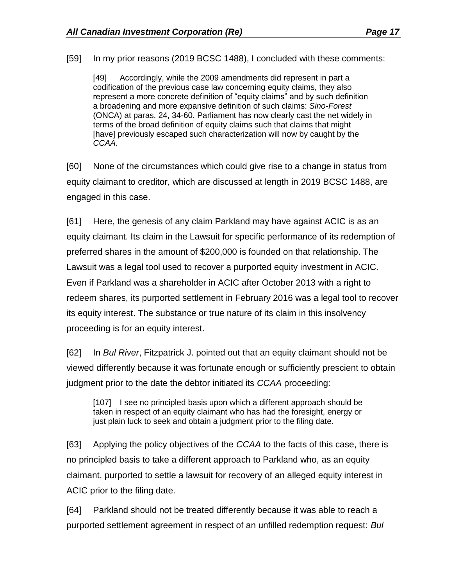[59] In my prior reasons (2019 BCSC 1488), I concluded with these comments:

[49] Accordingly, while the 2009 amendments did represent in part a codification of the previous case law concerning equity claims, they also represent a more concrete definition of "equity claims" and by such definition a broadening and more expansive definition of such claims: *Sino-Forest*  (ONCA) at paras. 24, 34-60. Parliament has now clearly cast the net widely in terms of the broad definition of equity claims such that claims that might [have] previously escaped such characterization will now by caught by the *CCAA*.

[60] None of the circumstances which could give rise to a change in status from equity claimant to creditor, which are discussed at length in 2019 BCSC 1488, are engaged in this case.

[61] Here, the genesis of any claim Parkland may have against ACIC is as an equity claimant. Its claim in the Lawsuit for specific performance of its redemption of preferred shares in the amount of \$200,000 is founded on that relationship. The Lawsuit was a legal tool used to recover a purported equity investment in ACIC. Even if Parkland was a shareholder in ACIC after October 2013 with a right to redeem shares, its purported settlement in February 2016 was a legal tool to recover its equity interest. The substance or true nature of its claim in this insolvency proceeding is for an equity interest.

[62] In *Bul River*, Fitzpatrick J. pointed out that an equity claimant should not be viewed differently because it was fortunate enough or sufficiently prescient to obtain judgment prior to the date the debtor initiated its *CCAA* proceeding:

[107] I see no principled basis upon which a different approach should be taken in respect of an equity claimant who has had the foresight, energy or just plain luck to seek and obtain a judgment prior to the filing date.

[63] Applying the policy objectives of the *CCAA* to the facts of this case, there is no principled basis to take a different approach to Parkland who, as an equity claimant, purported to settle a lawsuit for recovery of an alleged equity interest in ACIC prior to the filing date.

[64] Parkland should not be treated differently because it was able to reach a purported settlement agreement in respect of an unfilled redemption request: *Bul*